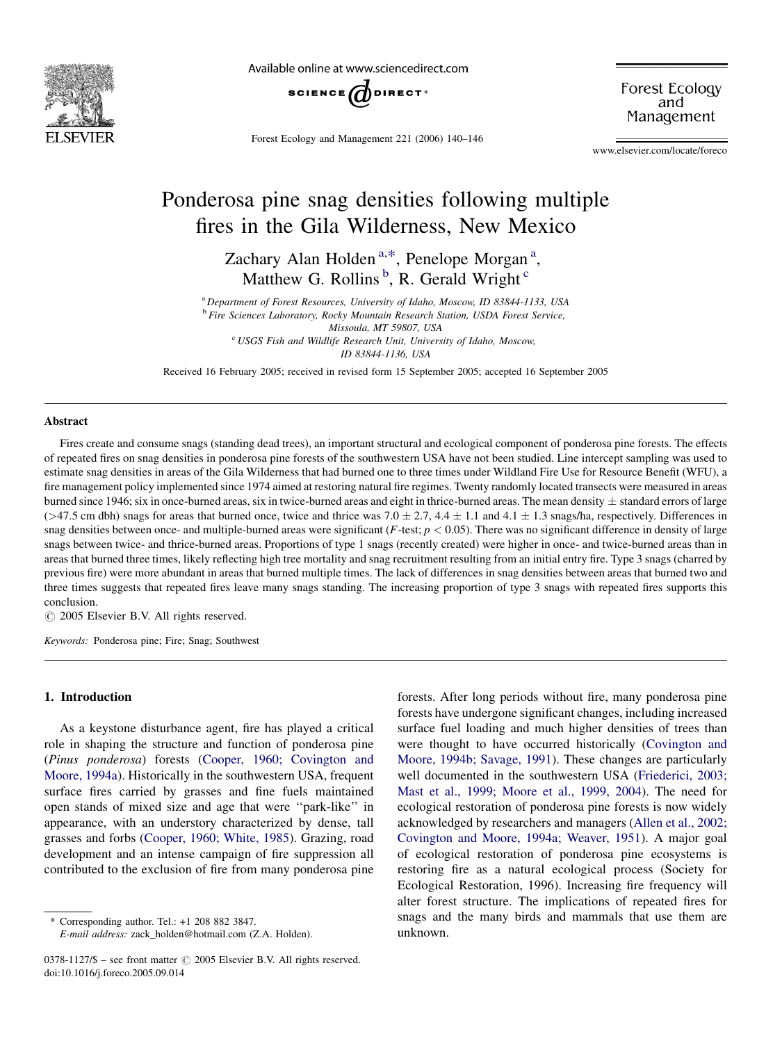

Available online at www.sciencedirect.com



Forest Ecology and Management 221 (2006) 140–146

Forest Ecology and Management

www.elsevier.com/locate/foreco

# Ponderosa pine snag densities following multiple fires in the Gila Wilderness, New Mexico

Zachary Alan Holden<sup>a,\*</sup>, Penelope Morgan<sup>a</sup>, Matthew G. Rollins<sup>b</sup>, R. Gerald Wright<sup>c</sup>

<sup>a</sup> Department of Forest Resources, University of Idaho, Moscow, ID 83844-1133, USA <sup>b</sup> Fire Sciences Laboratory, Rocky Mountain Research Station, USDA Forest Service,

Missoula, MT 59807, USA

 $c$  USGS Fish and Wildlife Research Unit, University of Idaho, Moscow,

ID 83844-1136, USA

Received 16 February 2005; received in revised form 15 September 2005; accepted 16 September 2005

#### Abstract

Fires create and consume snags (standing dead trees), an important structural and ecological component of ponderosa pine forests. The effects of repeated fires on snag densities in ponderosa pine forests of the southwestern USA have not been studied. Line intercept sampling was used to estimate snag densities in areas of the Gila Wilderness that had burned one to three times under Wildland Fire Use for Resource Benefit (WFU), a fire management policy implemented since 1974 aimed at restoring natural fire regimes. Twenty randomly located transects were measured in areas burned since 1946; six in once-burned areas, six in twice-burned areas and eight in thrice-burned areas. The mean density  $\pm$  standard errors of large (>47.5 cm dbh) snags for areas that burned once, twice and thrice was  $7.0 \pm 2.7$ ,  $4.4 \pm 1.1$  and  $4.1 \pm 1.3$  snags/ha, respectively. Differences in snag densities between once- and multiple-burned areas were significant ( $F$ -test;  $p < 0.05$ ). There was no significant difference in density of large snags between twice- and thrice-burned areas. Proportions of type 1 snags (recently created) were higher in once- and twice-burned areas than in areas that burned three times, likely reflecting high tree mortality and snag recruitment resulting from an initial entry fire. Type 3 snags (charred by previous fire) were more abundant in areas that burned multiple times. The lack of differences in snag densities between areas that burned two and three times suggests that repeated fires leave many snags standing. The increasing proportion of type 3 snags with repeated fires supports this conclusion.

 $\odot$  2005 Elsevier B.V. All rights reserved.

Keywords: Ponderosa pine; Fire; Snag; Southwest

# 1. Introduction

As a keystone disturbance agent, fire has played a critical role in shaping the structure and function of ponderosa pine (Pinus ponderosa) forests [\(Cooper, 1960; Covington and](#page-5-0) [Moore, 1994a\)](#page-5-0). Historically in the southwestern USA, frequent surface fires carried by grasses and fine fuels maintained open stands of mixed size and age that were ''park-like'' in appearance, with an understory characterized by dense, tall grasses and forbs ([Cooper, 1960; White, 1985](#page-5-0)). Grazing, road development and an intense campaign of fire suppression all contributed to the exclusion of fire from many ponderosa pine

E-mail address: zack\_holden@hotmail.com (Z.A. Holden).

forests. After long periods without fire, many ponderosa pine forests have undergone significant changes, including increased surface fuel loading and much higher densities of trees than were thought to have occurred historically [\(Covington and](#page-5-0) [Moore, 1994b; Savage, 1991](#page-5-0)). These changes are particularly well documented in the southwestern USA ([Friederici, 2003;](#page-5-0) [Mast et al., 1999; Moore et al., 1999, 2004\)](#page-5-0). The need for ecological restoration of ponderosa pine forests is now widely acknowledged by researchers and managers ([Allen et al., 2002;](#page-5-0) [Covington and Moore, 1994a; Weaver, 1951](#page-5-0)). A major goal of ecological restoration of ponderosa pine ecosystems is restoring fire as a natural ecological process (Society for Ecological Restoration, 1996). Increasing fire frequency will alter forest structure. The implications of repeated fires for snags and the many birds and mammals that use them are unknown.

<sup>\*</sup> Corresponding author. Tel.: +1 208 882 3847.

 $0378-1127/$ \$ – see front matter  $\odot$  2005 Elsevier B.V. All rights reserved. doi:10.1016/j.foreco.2005.09.014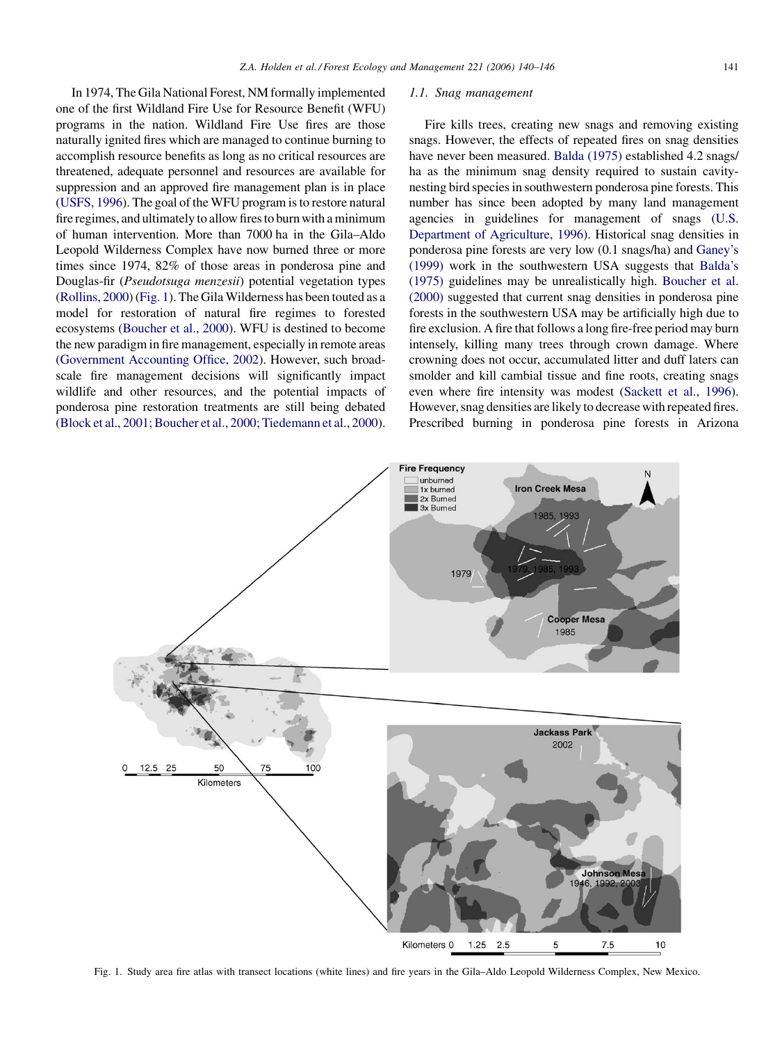<span id="page-1-0"></span>In 1974, The Gila National Forest, NM formally implemented one of the first Wildland Fire Use for Resource Benefit (WFU) programs in the nation. Wildland Fire Use fires are those naturally ignited fires which are managed to continue burning to accomplish resource benefits as long as no critical resources are threatened, adequate personnel and resources are available for suppression and an approved fire management plan is in place ([USFS, 1996](#page-6-0)). The goal of the WFU program is to restore natural fire regimes, and ultimately to allow fires to burn with a minimum of human intervention. More than 7000 ha in the Gila–Aldo Leopold Wilderness Complex have now burned three or more times since 1974, 82% of those areas in ponderosa pine and Douglas-fir (Pseudotsuga menzesii) potential vegetation types ([Rollins, 2000](#page-6-0)) (Fig. 1). The Gila Wilderness has been touted as a model for restoration of natural fire regimes to forested ecosystems [\(Boucher et al., 2000](#page-5-0)). WFU is destined to become the new paradigm in fire management, especially in remote areas ([Government Accounting Office, 2002](#page-5-0)). However, such broadscale fire management decisions will significantly impact wildlife and other resources, and the potential impacts of ponderosa pine restoration treatments are still being debated ([Block et al., 2001; Boucher et al., 2000; Tiedemann et al., 2000\)](#page-5-0).

#### 1.1. Snag management

Fire kills trees, creating new snags and removing existing snags. However, the effects of repeated fires on snag densities have never been measured. [Balda \(1975\)](#page-5-0) established 4.2 snags/ ha as the minimum snag density required to sustain cavitynesting bird species in southwestern ponderosa pine forests. This number has since been adopted by many land management agencies in guidelines for management of snags [\(U.S.](#page-6-0) [Department of Agriculture, 1996](#page-6-0)). Historical snag densities in ponderosa pine forests are very low (0.1 snags/ha) and [Ganey's](#page-5-0) [\(1999\)](#page-5-0) work in the southwestern USA suggests that [Balda's](#page-5-0) [\(1975\)](#page-5-0) guidelines may be unrealistically high. [Boucher et al.](#page-5-0) [\(2000\)](#page-5-0) suggested that current snag densities in ponderosa pine forests in the southwestern USA may be artificially high due to fire exclusion. A fire that follows a long fire-free period may burn intensely, killing many trees through crown damage. Where crowning does not occur, accumulated litter and duff laters can smolder and kill cambial tissue and fine roots, creating snags even where fire intensity was modest [\(Sackett et al., 1996\)](#page-6-0). However, snag densities are likely to decrease with repeated fires. Prescribed burning in ponderosa pine forests in Arizona



Fig. 1. Study area fire atlas with transect locations (white lines) and fire years in the Gila–Aldo Leopold Wilderness Complex, New Mexico.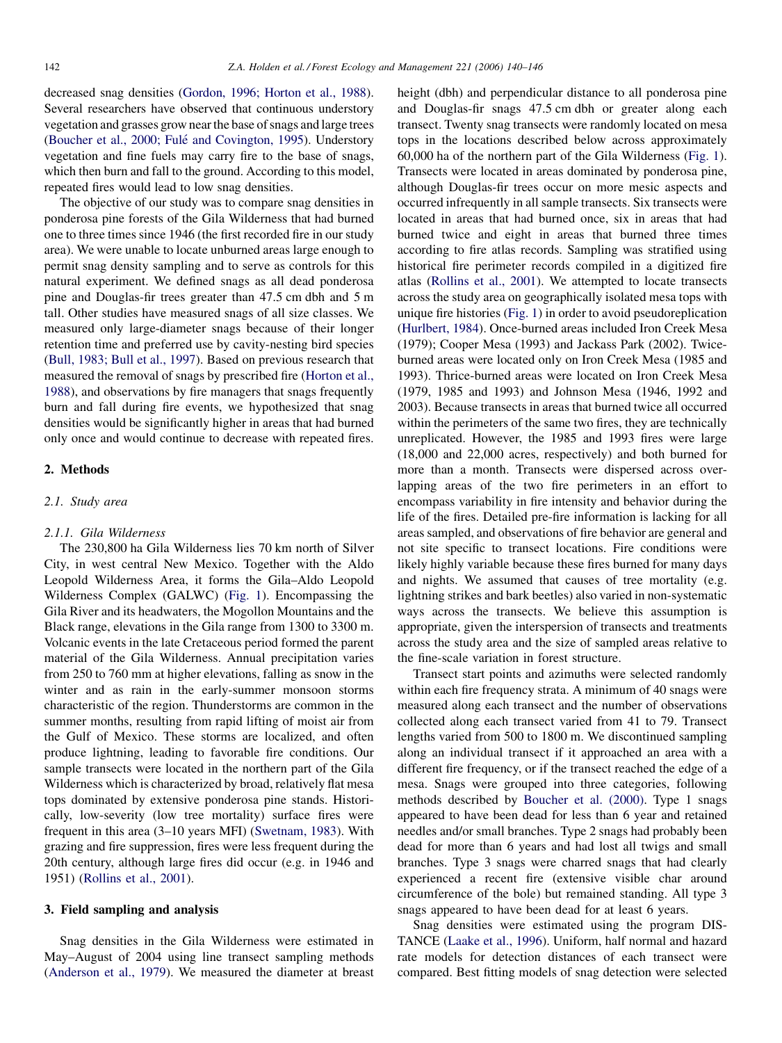decreased snag densities [\(Gordon, 1996; Horton et al., 1988\)](#page-5-0). Several researchers have observed that continuous understory vegetation and grasses grow near the base of snags and large trees (Boucher et al., 2000; Fulé and Covington, 1995). Understory vegetation and fine fuels may carry fire to the base of snags, which then burn and fall to the ground. According to this model, repeated fires would lead to low snag densities.

The objective of our study was to compare snag densities in ponderosa pine forests of the Gila Wilderness that had burned one to three times since 1946 (the first recorded fire in our study area). We were unable to locate unburned areas large enough to permit snag density sampling and to serve as controls for this natural experiment. We defined snags as all dead ponderosa pine and Douglas-fir trees greater than 47.5 cm dbh and 5 m tall. Other studies have measured snags of all size classes. We measured only large-diameter snags because of their longer retention time and preferred use by cavity-nesting bird species ([Bull, 1983; Bull et al., 1997](#page-5-0)). Based on previous research that measured the removal of snags by prescribed fire ([Horton et al.,](#page-5-0) [1988\)](#page-5-0), and observations by fire managers that snags frequently burn and fall during fire events, we hypothesized that snag densities would be significantly higher in areas that had burned only once and would continue to decrease with repeated fires.

## 2. Methods

# 2.1. Study area

#### 2.1.1. Gila Wilderness

The 230,800 ha Gila Wilderness lies 70 km north of Silver City, in west central New Mexico. Together with the Aldo Leopold Wilderness Area, it forms the Gila–Aldo Leopold Wilderness Complex (GALWC) [\(Fig. 1](#page-1-0)). Encompassing the Gila River and its headwaters, the Mogollon Mountains and the Black range, elevations in the Gila range from 1300 to 3300 m. Volcanic events in the late Cretaceous period formed the parent material of the Gila Wilderness. Annual precipitation varies from 250 to 760 mm at higher elevations, falling as snow in the winter and as rain in the early-summer monsoon storms characteristic of the region. Thunderstorms are common in the summer months, resulting from rapid lifting of moist air from the Gulf of Mexico. These storms are localized, and often produce lightning, leading to favorable fire conditions. Our sample transects were located in the northern part of the Gila Wilderness which is characterized by broad, relatively flat mesa tops dominated by extensive ponderosa pine stands. Historically, low-severity (low tree mortality) surface fires were frequent in this area (3–10 years MFI) ([Swetnam, 1983](#page-6-0)). With grazing and fire suppression, fires were less frequent during the 20th century, although large fires did occur (e.g. in 1946 and 1951) ([Rollins et al., 2001](#page-6-0)).

## 3. Field sampling and analysis

Snag densities in the Gila Wilderness were estimated in May–August of 2004 using line transect sampling methods ([Anderson et al., 1979](#page-5-0)). We measured the diameter at breast height (dbh) and perpendicular distance to all ponderosa pine and Douglas-fir snags 47.5 cm dbh or greater along each transect. Twenty snag transects were randomly located on mesa tops in the locations described below across approximately 60,000 ha of the northern part of the Gila Wilderness [\(Fig. 1\)](#page-1-0). Transects were located in areas dominated by ponderosa pine, although Douglas-fir trees occur on more mesic aspects and occurred infrequently in all sample transects. Six transects were located in areas that had burned once, six in areas that had burned twice and eight in areas that burned three times according to fire atlas records. Sampling was stratified using historical fire perimeter records compiled in a digitized fire atlas [\(Rollins et al., 2001\)](#page-6-0). We attempted to locate transects across the study area on geographically isolated mesa tops with unique fire histories ([Fig. 1\)](#page-1-0) in order to avoid pseudoreplication [\(Hurlbert, 1984\)](#page-5-0). Once-burned areas included Iron Creek Mesa (1979); Cooper Mesa (1993) and Jackass Park (2002). Twiceburned areas were located only on Iron Creek Mesa (1985 and 1993). Thrice-burned areas were located on Iron Creek Mesa (1979, 1985 and 1993) and Johnson Mesa (1946, 1992 and 2003). Because transects in areas that burned twice all occurred within the perimeters of the same two fires, they are technically unreplicated. However, the 1985 and 1993 fires were large (18,000 and 22,000 acres, respectively) and both burned for more than a month. Transects were dispersed across overlapping areas of the two fire perimeters in an effort to encompass variability in fire intensity and behavior during the life of the fires. Detailed pre-fire information is lacking for all areas sampled, and observations of fire behavior are general and not site specific to transect locations. Fire conditions were likely highly variable because these fires burned for many days and nights. We assumed that causes of tree mortality (e.g. lightning strikes and bark beetles) also varied in non-systematic ways across the transects. We believe this assumption is appropriate, given the interspersion of transects and treatments across the study area and the size of sampled areas relative to the fine-scale variation in forest structure.

Transect start points and azimuths were selected randomly within each fire frequency strata. A minimum of 40 snags were measured along each transect and the number of observations collected along each transect varied from 41 to 79. Transect lengths varied from 500 to 1800 m. We discontinued sampling along an individual transect if it approached an area with a different fire frequency, or if the transect reached the edge of a mesa. Snags were grouped into three categories, following methods described by [Boucher et al. \(2000\)](#page-5-0). Type 1 snags appeared to have been dead for less than 6 year and retained needles and/or small branches. Type 2 snags had probably been dead for more than 6 years and had lost all twigs and small branches. Type 3 snags were charred snags that had clearly experienced a recent fire (extensive visible char around circumference of the bole) but remained standing. All type 3 snags appeared to have been dead for at least 6 years.

Snag densities were estimated using the program DIS-TANCE [\(Laake et al., 1996\)](#page-5-0). Uniform, half normal and hazard rate models for detection distances of each transect were compared. Best fitting models of snag detection were selected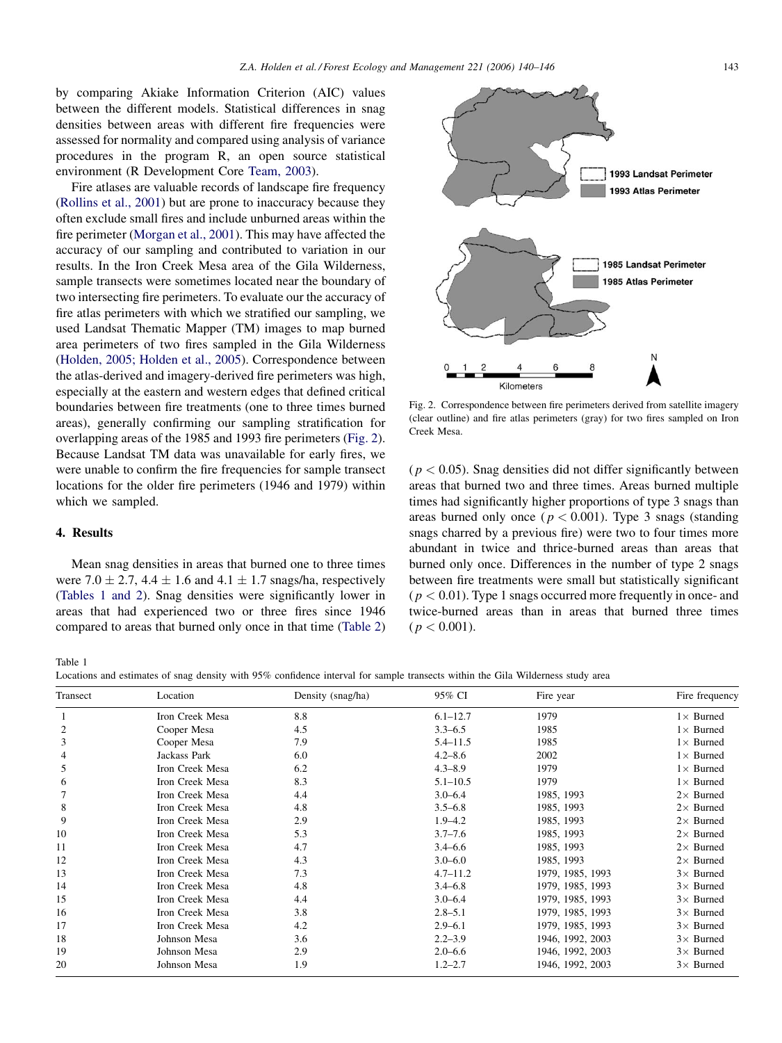by comparing Akiake Information Criterion (AIC) values between the different models. Statistical differences in snag densities between areas with different fire frequencies were assessed for normality and compared using analysis of variance procedures in the program R, an open source statistical environment (R Development Core [Team, 2003](#page-6-0)).

Fire atlases are valuable records of landscape fire frequency ([Rollins et al., 2001\)](#page-6-0) but are prone to inaccuracy because they often exclude small fires and include unburned areas within the fire perimeter ([Morgan et al., 2001](#page-6-0)). This may have affected the accuracy of our sampling and contributed to variation in our results. In the Iron Creek Mesa area of the Gila Wilderness, sample transects were sometimes located near the boundary of two intersecting fire perimeters. To evaluate our the accuracy of fire atlas perimeters with which we stratified our sampling, we used Landsat Thematic Mapper (TM) images to map burned area perimeters of two fires sampled in the Gila Wilderness ([Holden, 2005; Holden et al., 2005\)](#page-5-0). Correspondence between the atlas-derived and imagery-derived fire perimeters was high, especially at the eastern and western edges that defined critical boundaries between fire treatments (one to three times burned areas), generally confirming our sampling stratification for overlapping areas of the 1985 and 1993 fire perimeters (Fig. 2). Because Landsat TM data was unavailable for early fires, we were unable to confirm the fire frequencies for sample transect locations for the older fire perimeters (1946 and 1979) within which we sampled.

#### 4. Results

Mean snag densities in areas that burned one to three times were  $7.0 \pm 2.7$ ,  $4.4 \pm 1.6$  and  $4.1 \pm 1.7$  snags/ha, respectively (Tables 1 and 2). Snag densities were significantly lower in areas that had experienced two or three fires since 1946 compared to areas that burned only once in that time [\(Table 2](#page-4-0))



Fig. 2. Correspondence between fire perimeters derived from satellite imagery (clear outline) and fire atlas perimeters (gray) for two fires sampled on Iron Creek Mesa.

 $(p < 0.05)$ . Snag densities did not differ significantly between areas that burned two and three times. Areas burned multiple times had significantly higher proportions of type 3 snags than areas burned only once ( $p < 0.001$ ). Type 3 snags (standing snags charred by a previous fire) were two to four times more abundant in twice and thrice-burned areas than areas that burned only once. Differences in the number of type 2 snags between fire treatments were small but statistically significant  $(p < 0.01)$ . Type 1 snags occurred more frequently in once- and twice-burned areas than in areas that burned three times  $(p < 0.001)$ .

Table 1

Locations and estimates of snag density with 95% confidence interval for sample transects within the Gila Wilderness study area

| Transect | Location        | Density (snag/ha) | 95% CI       | Fire year        | Fire frequency    |
|----------|-----------------|-------------------|--------------|------------------|-------------------|
| 1        | Iron Creek Mesa | 8.8               | $6.1 - 12.7$ | 1979             | $1 \times$ Burned |
|          | Cooper Mesa     | 4.5               | $3.3 - 6.5$  | 1985             | $1 \times$ Burned |
| 3        | Cooper Mesa     | 7.9               | $5.4 - 11.5$ | 1985             | $1 \times$ Burned |
| 4        | Jackass Park    | 6.0               | $4.2 - 8.6$  | 2002             | $1 \times$ Burned |
| 5        | Iron Creek Mesa | 6.2               | $4.3 - 8.9$  | 1979             | $1 \times$ Burned |
| 6        | Iron Creek Mesa | 8.3               | $5.1 - 10.5$ | 1979             | $1 \times$ Burned |
|          | Iron Creek Mesa | 4.4               | $3.0 - 6.4$  | 1985, 1993       | $2\times$ Burned  |
| 8        | Iron Creek Mesa | 4.8               | $3.5 - 6.8$  | 1985, 1993       | $2\times$ Burned  |
| 9        | Iron Creek Mesa | 2.9               | $1.9 - 4.2$  | 1985, 1993       | $2\times$ Burned  |
| 10       | Iron Creek Mesa | 5.3               | $3.7 - 7.6$  | 1985, 1993       | $2\times$ Burned  |
| 11       | Iron Creek Mesa | 4.7               | $3.4 - 6.6$  | 1985, 1993       | $2 \times$ Burned |
| 12       | Iron Creek Mesa | 4.3               | $3.0 - 6.0$  | 1985, 1993       | $2\times$ Burned  |
| 13       | Iron Creek Mesa | 7.3               | $4.7 - 11.2$ | 1979, 1985, 1993 | $3\times$ Burned  |
| 14       | Iron Creek Mesa | 4.8               | $3.4 - 6.8$  | 1979, 1985, 1993 | $3\times$ Burned  |
| 15       | Iron Creek Mesa | 4.4               | $3.0 - 6.4$  | 1979, 1985, 1993 | $3\times$ Burned  |
| 16       | Iron Creek Mesa | 3.8               | $2.8 - 5.1$  | 1979, 1985, 1993 | $3\times$ Burned  |
| 17       | Iron Creek Mesa | 4.2               | $2.9 - 6.1$  | 1979, 1985, 1993 | $3\times$ Burned  |
| 18       | Johnson Mesa    | 3.6               | $2.2 - 3.9$  | 1946, 1992, 2003 | $3\times$ Burned  |
| 19       | Johnson Mesa    | 2.9               | $2.0 - 6.6$  | 1946, 1992, 2003 | $3\times$ Burned  |
| 20       | Johnson Mesa    | 1.9               | $1.2 - 2.7$  | 1946, 1992, 2003 | $3\times$ Burned  |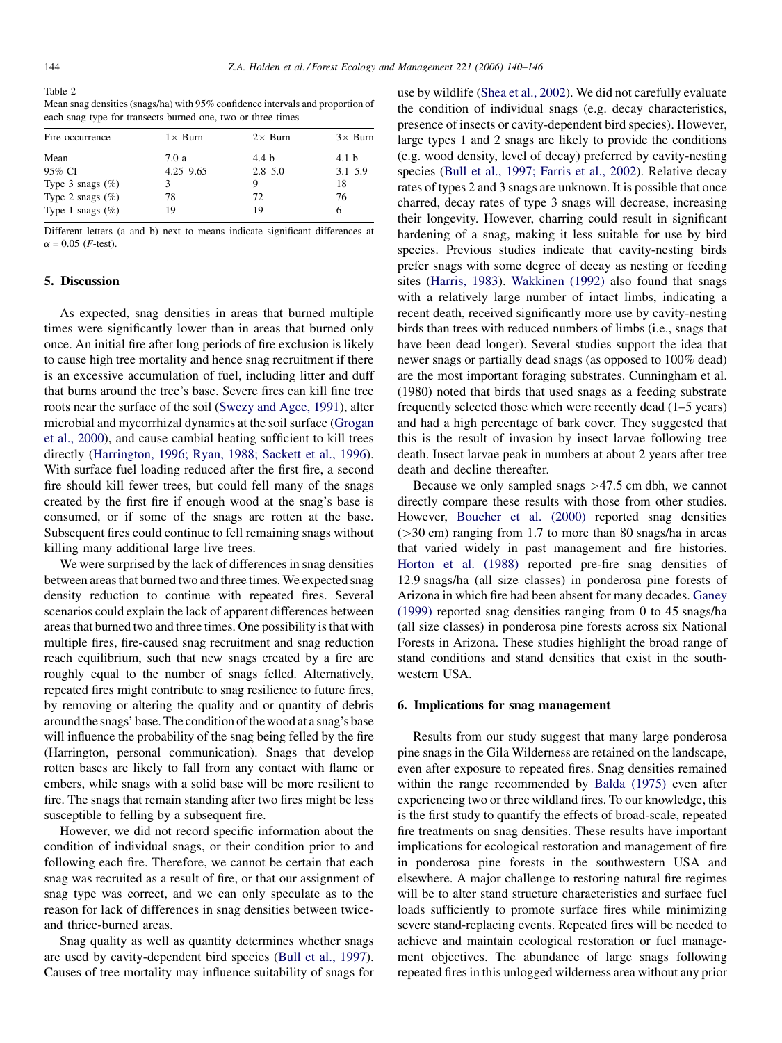<span id="page-4-0"></span>Table 2 Mean snag densities (snags/ha) with 95% confidence intervals and proportion of each snag type for transects burned one, two or three times

| Fire occurrence     | $1 \times$ Burn | $2\times$ Burn | $3\times$ Burn   |
|---------------------|-----------------|----------------|------------------|
| Mean                | 7.0 a           | 4.4 h          | 4.1 <sub>b</sub> |
| 95% CI              | $4.25 - 9.65$   | $2.8 - 5.0$    | $3.1 - 5.9$      |
| Type 3 snags $(\%)$ |                 |                | 18               |
| Type 2 snags $(\%)$ | 78              | 72.            | 76               |
| Type 1 snags $(\%)$ | 19              | 19             |                  |

Different letters (a and b) next to means indicate significant differences at  $\alpha = 0.05$  (*F*-test).

## 5. Discussion

As expected, snag densities in areas that burned multiple times were significantly lower than in areas that burned only once. An initial fire after long periods of fire exclusion is likely to cause high tree mortality and hence snag recruitment if there is an excessive accumulation of fuel, including litter and duff that burns around the tree's base. Severe fires can kill fine tree roots near the surface of the soil ([Swezy and Agee, 1991\)](#page-6-0), alter microbial and mycorrhizal dynamics at the soil surface ([Grogan](#page-5-0) [et al., 2000](#page-5-0)), and cause cambial heating sufficient to kill trees directly [\(Harrington, 1996; Ryan, 1988; Sackett et al., 1996\)](#page-5-0). With surface fuel loading reduced after the first fire, a second fire should kill fewer trees, but could fell many of the snags created by the first fire if enough wood at the snag's base is consumed, or if some of the snags are rotten at the base. Subsequent fires could continue to fell remaining snags without killing many additional large live trees.

We were surprised by the lack of differences in snag densities between areas that burned two and three times. We expected snag density reduction to continue with repeated fires. Several scenarios could explain the lack of apparent differences between areas that burned two and three times. One possibility is that with multiple fires, fire-caused snag recruitment and snag reduction reach equilibrium, such that new snags created by a fire are roughly equal to the number of snags felled. Alternatively, repeated fires might contribute to snag resilience to future fires, by removing or altering the quality and or quantity of debris around the snags' base. The condition of the wood at a snag's base will influence the probability of the snag being felled by the fire (Harrington, personal communication). Snags that develop rotten bases are likely to fall from any contact with flame or embers, while snags with a solid base will be more resilient to fire. The snags that remain standing after two fires might be less susceptible to felling by a subsequent fire.

However, we did not record specific information about the condition of individual snags, or their condition prior to and following each fire. Therefore, we cannot be certain that each snag was recruited as a result of fire, or that our assignment of snag type was correct, and we can only speculate as to the reason for lack of differences in snag densities between twiceand thrice-burned areas.

Snag quality as well as quantity determines whether snags are used by cavity-dependent bird species ([Bull et al., 1997\)](#page-5-0). Causes of tree mortality may influence suitability of snags for

use by wildlife [\(Shea et al., 2002\)](#page-6-0). We did not carefully evaluate the condition of individual snags (e.g. decay characteristics, presence of insects or cavity-dependent bird species). However, large types 1 and 2 snags are likely to provide the conditions (e.g. wood density, level of decay) preferred by cavity-nesting species [\(Bull et al., 1997; Farris et al., 2002\)](#page-5-0). Relative decay rates of types 2 and 3 snags are unknown. It is possible that once charred, decay rates of type 3 snags will decrease, increasing their longevity. However, charring could result in significant hardening of a snag, making it less suitable for use by bird species. Previous studies indicate that cavity-nesting birds prefer snags with some degree of decay as nesting or feeding sites ([Harris, 1983](#page-5-0)). [Wakkinen \(1992\)](#page-6-0) also found that snags with a relatively large number of intact limbs, indicating a recent death, received significantly more use by cavity-nesting birds than trees with reduced numbers of limbs (i.e., snags that have been dead longer). Several studies support the idea that newer snags or partially dead snags (as opposed to 100% dead) are the most important foraging substrates. Cunningham et al. (1980) noted that birds that used snags as a feeding substrate frequently selected those which were recently dead (1–5 years) and had a high percentage of bark cover. They suggested that this is the result of invasion by insect larvae following tree death. Insect larvae peak in numbers at about 2 years after tree death and decline thereafter.

Because we only sampled snags  $>47.5$  cm dbh, we cannot directly compare these results with those from other studies. However, [Boucher et al. \(2000\)](#page-5-0) reported snag densities (>30 cm) ranging from 1.7 to more than 80 snags/ha in areas that varied widely in past management and fire histories. [Horton et al. \(1988\)](#page-5-0) reported pre-fire snag densities of 12.9 snags/ha (all size classes) in ponderosa pine forests of Arizona in which fire had been absent for many decades. [Ganey](#page-5-0) [\(1999\)](#page-5-0) reported snag densities ranging from 0 to 45 snags/ha (all size classes) in ponderosa pine forests across six National Forests in Arizona. These studies highlight the broad range of stand conditions and stand densities that exist in the southwestern USA.

#### 6. Implications for snag management

Results from our study suggest that many large ponderosa pine snags in the Gila Wilderness are retained on the landscape, even after exposure to repeated fires. Snag densities remained within the range recommended by [Balda \(1975\)](#page-5-0) even after experiencing two or three wildland fires. To our knowledge, this is the first study to quantify the effects of broad-scale, repeated fire treatments on snag densities. These results have important implications for ecological restoration and management of fire in ponderosa pine forests in the southwestern USA and elsewhere. A major challenge to restoring natural fire regimes will be to alter stand structure characteristics and surface fuel loads sufficiently to promote surface fires while minimizing severe stand-replacing events. Repeated fires will be needed to achieve and maintain ecological restoration or fuel management objectives. The abundance of large snags following repeated fires in this unlogged wilderness area without any prior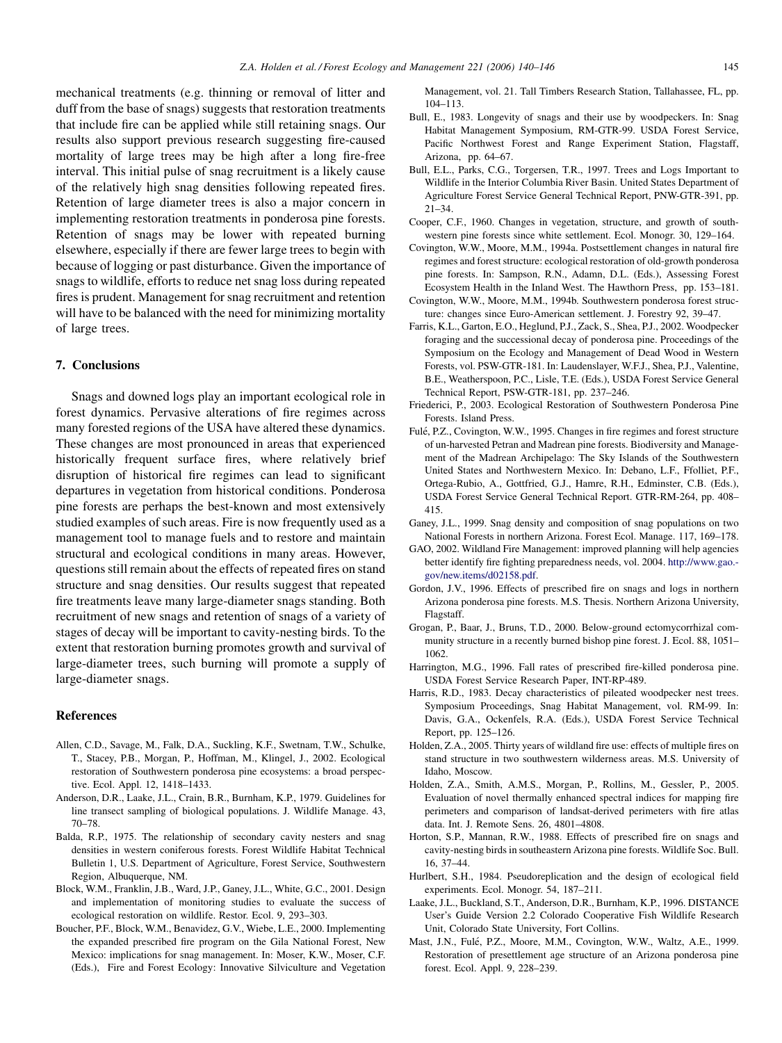<span id="page-5-0"></span>mechanical treatments (e.g. thinning or removal of litter and duff from the base of snags) suggests that restoration treatments that include fire can be applied while still retaining snags. Our results also support previous research suggesting fire-caused mortality of large trees may be high after a long fire-free interval. This initial pulse of snag recruitment is a likely cause of the relatively high snag densities following repeated fires. Retention of large diameter trees is also a major concern in implementing restoration treatments in ponderosa pine forests. Retention of snags may be lower with repeated burning elsewhere, especially if there are fewer large trees to begin with because of logging or past disturbance. Given the importance of snags to wildlife, efforts to reduce net snag loss during repeated fires is prudent. Management for snag recruitment and retention will have to be balanced with the need for minimizing mortality of large trees.

#### 7. Conclusions

Snags and downed logs play an important ecological role in forest dynamics. Pervasive alterations of fire regimes across many forested regions of the USA have altered these dynamics. These changes are most pronounced in areas that experienced historically frequent surface fires, where relatively brief disruption of historical fire regimes can lead to significant departures in vegetation from historical conditions. Ponderosa pine forests are perhaps the best-known and most extensively studied examples of such areas. Fire is now frequently used as a management tool to manage fuels and to restore and maintain structural and ecological conditions in many areas. However, questions still remain about the effects of repeated fires on stand structure and snag densities. Our results suggest that repeated fire treatments leave many large-diameter snags standing. Both recruitment of new snags and retention of snags of a variety of stages of decay will be important to cavity-nesting birds. To the extent that restoration burning promotes growth and survival of large-diameter trees, such burning will promote a supply of large-diameter snags.

## References

- Allen, C.D., Savage, M., Falk, D.A., Suckling, K.F., Swetnam, T.W., Schulke, T., Stacey, P.B., Morgan, P., Hoffman, M., Klingel, J., 2002. Ecological restoration of Southwestern ponderosa pine ecosystems: a broad perspective. Ecol. Appl. 12, 1418–1433.
- Anderson, D.R., Laake, J.L., Crain, B.R., Burnham, K.P., 1979. Guidelines for line transect sampling of biological populations. J. Wildlife Manage. 43, 70–78.
- Balda, R.P., 1975. The relationship of secondary cavity nesters and snag densities in western coniferous forests. Forest Wildlife Habitat Technical Bulletin 1, U.S. Department of Agriculture, Forest Service, Southwestern Region, Albuquerque, NM.
- Block, W.M., Franklin, J.B., Ward, J.P., Ganey, J.L., White, G.C., 2001. Design and implementation of monitoring studies to evaluate the success of ecological restoration on wildlife. Restor. Ecol. 9, 293–303.
- Boucher, P.F., Block, W.M., Benavidez, G.V., Wiebe, L.E., 2000. Implementing the expanded prescribed fire program on the Gila National Forest, New Mexico: implications for snag management. In: Moser, K.W., Moser, C.F. (Eds.), Fire and Forest Ecology: Innovative Silviculture and Vegetation

Management, vol. 21. Tall Timbers Research Station, Tallahassee, FL, pp. 104–113.

- Bull, E., 1983. Longevity of snags and their use by woodpeckers. In: Snag Habitat Management Symposium, RM-GTR-99. USDA Forest Service, Pacific Northwest Forest and Range Experiment Station, Flagstaff, Arizona, pp. 64–67.
- Bull, E.L., Parks, C.G., Torgersen, T.R., 1997. Trees and Logs Important to Wildlife in the Interior Columbia River Basin. United States Department of Agriculture Forest Service General Technical Report, PNW-GTR-391, pp. 21–34.
- Cooper, C.F., 1960. Changes in vegetation, structure, and growth of southwestern pine forests since white settlement. Ecol. Monogr. 30, 129–164.
- Covington, W.W., Moore, M.M., 1994a. Postsettlement changes in natural fire regimes and forest structure: ecological restoration of old-growth ponderosa pine forests. In: Sampson, R.N., Adamn, D.L. (Eds.), Assessing Forest Ecosystem Health in the Inland West. The Hawthorn Press, pp. 153–181.
- Covington, W.W., Moore, M.M., 1994b. Southwestern ponderosa forest structure: changes since Euro-American settlement. J. Forestry 92, 39–47.
- Farris, K.L., Garton, E.O., Heglund, P.J., Zack, S., Shea, P.J., 2002. Woodpecker foraging and the successional decay of ponderosa pine. Proceedings of the Symposium on the Ecology and Management of Dead Wood in Western Forests, vol. PSW-GTR-181. In: Laudenslayer, W.F.J., Shea, P.J., Valentine, B.E., Weatherspoon, P.C., Lisle, T.E. (Eds.), USDA Forest Service General Technical Report, PSW-GTR-181, pp. 237–246.
- Friederici, P., 2003. Ecological Restoration of Southwestern Ponderosa Pine Forests. Island Press.
- Fulé, P.Z., Covington, W.W., 1995. Changes in fire regimes and forest structure of un-harvested Petran and Madrean pine forests. Biodiversity and Management of the Madrean Archipelago: The Sky Islands of the Southwestern United States and Northwestern Mexico. In: Debano, L.F., Ffolliet, P.F., Ortega-Rubio, A., Gottfried, G.J., Hamre, R.H., Edminster, C.B. (Eds.), USDA Forest Service General Technical Report. GTR-RM-264, pp. 408– 415.
- Ganey, J.L., 1999. Snag density and composition of snag populations on two National Forests in northern Arizona. Forest Ecol. Manage. 117, 169–178.
- GAO, 2002. Wildland Fire Management: improved planning will help agencies better identify fire fighting preparedness needs, vol. 2004. [http://www.gao.](http://www.gao.gov/new.items/d02158.pdf) [gov/new.items/d02158.pdf](http://www.gao.gov/new.items/d02158.pdf).
- Gordon, J.V., 1996. Effects of prescribed fire on snags and logs in northern Arizona ponderosa pine forests. M.S. Thesis. Northern Arizona University, Flagstaff.
- Grogan, P., Baar, J., Bruns, T.D., 2000. Below-ground ectomycorrhizal community structure in a recently burned bishop pine forest. J. Ecol. 88, 1051– 1062.
- Harrington, M.G., 1996. Fall rates of prescribed fire-killed ponderosa pine. USDA Forest Service Research Paper, INT-RP-489.
- Harris, R.D., 1983. Decay characteristics of pileated woodpecker nest trees. Symposium Proceedings, Snag Habitat Management, vol. RM-99. In: Davis, G.A., Ockenfels, R.A. (Eds.), USDA Forest Service Technical Report, pp. 125–126.
- Holden, Z.A., 2005. Thirty years of wildland fire use: effects of multiple fires on stand structure in two southwestern wilderness areas. M.S. University of Idaho, Moscow.
- Holden, Z.A., Smith, A.M.S., Morgan, P., Rollins, M., Gessler, P., 2005. Evaluation of novel thermally enhanced spectral indices for mapping fire perimeters and comparison of landsat-derived perimeters with fire atlas data. Int. J. Remote Sens. 26, 4801–4808.
- Horton, S.P., Mannan, R.W., 1988. Effects of prescribed fire on snags and cavity-nesting birds in southeastern Arizona pine forests. Wildlife Soc. Bull. 16, 37–44.
- Hurlbert, S.H., 1984. Pseudoreplication and the design of ecological field experiments. Ecol. Monogr. 54, 187–211.
- Laake, J.L., Buckland, S.T., Anderson, D.R., Burnham, K.P., 1996. DISTANCE User's Guide Version 2.2 Colorado Cooperative Fish Wildlife Research Unit, Colorado State University, Fort Collins.
- Mast, J.N., Fulé, P.Z., Moore, M.M., Covington, W.W., Waltz, A.E., 1999. Restoration of presettlement age structure of an Arizona ponderosa pine forest. Ecol. Appl. 9, 228–239.